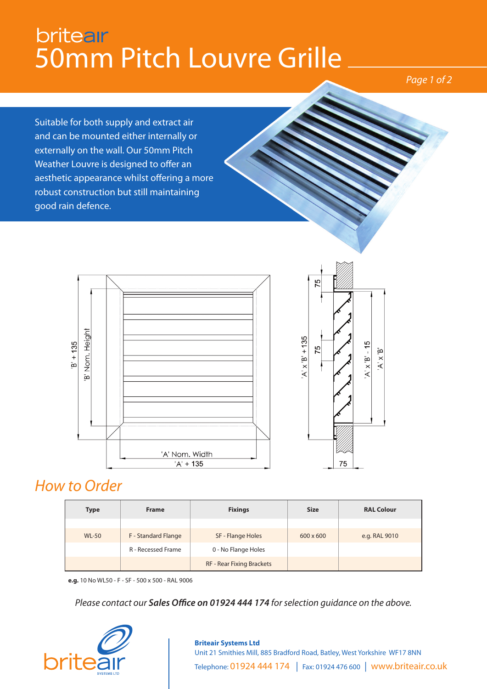## **britear** 50mm Pitch Louvre Grille

*Page 1 of 2*

Suitable for both supply and extract air and can be mounted either internally or externally on the wall. Our 50mm Pitch Weather Louvre is designed to offer an aesthetic appearance whilst offering a more robust construction but still maintaining good rain defence.





## *How to Order*

| <b>Type</b>  | <b>Frame</b>              | <b>Fixings</b>            | <b>Size</b>      | <b>RAL Colour</b> |
|--------------|---------------------------|---------------------------|------------------|-------------------|
|              |                           |                           |                  |                   |
| <b>WL-50</b> | F - Standard Flange       | SF - Flange Holes         | $600 \times 600$ | e.g. RAL 9010     |
|              | <b>R</b> - Recessed Frame | 0 - No Flange Holes       |                  |                   |
|              |                           | RF - Rear Fixing Brackets |                  |                   |

**e.g.** 10 No WL50 - F - SF - 500 x 500 - RAL 9006

*Please contact our Sales Office on 01924 444 174 for selection guidance on the above.*



## **Briteair Systems Ltd** Unit 21 Smithies Mill, 885 Bradford Road, Batley, West Yorkshire WF17 8NN Telephone: 01924 444 174 | Fax: 01924 476 600 | www.briteair.co.uk